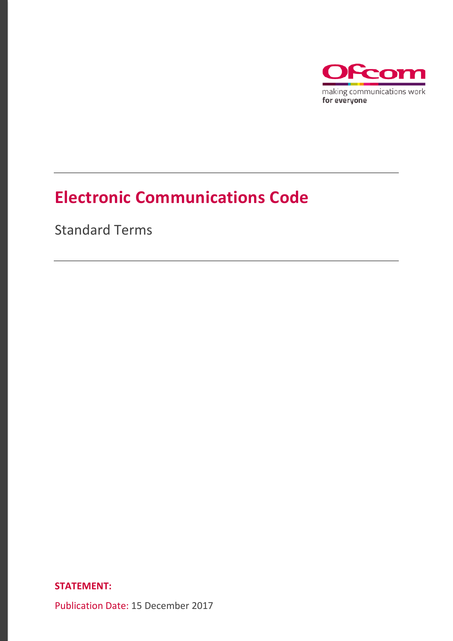

# **Electronic Communications Code**

Standard Terms

**STATEMENT:**

Publication Date: 15 December 2017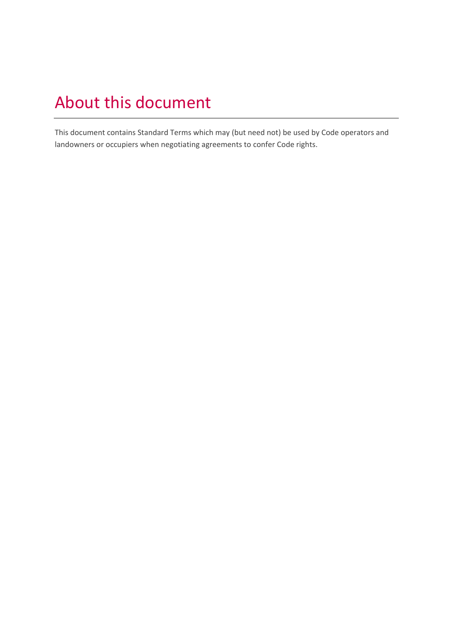# About this document

This document contains Standard Terms which may (but need not) be used by Code operators and landowners or occupiers when negotiating agreements to confer Code rights.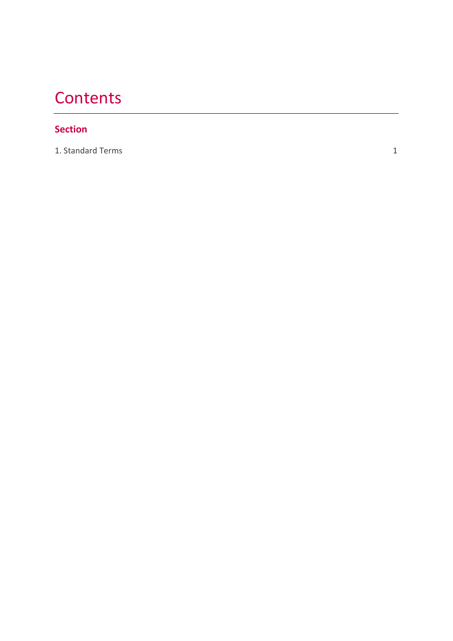# **Contents**

# **Section**

[1. Standard Terms](#page-3-0)

1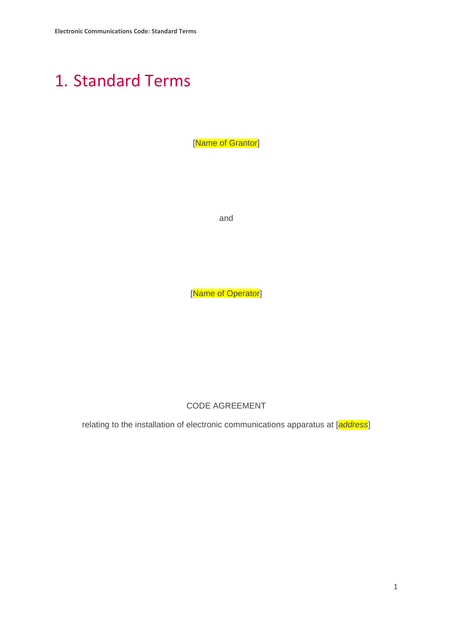# <span id="page-3-0"></span>1. Standard Terms

[Name of Grantor]

and

[Name of Operator]

CODE AGREEMENT

relating to the installation of electronic communications apparatus at [*address*]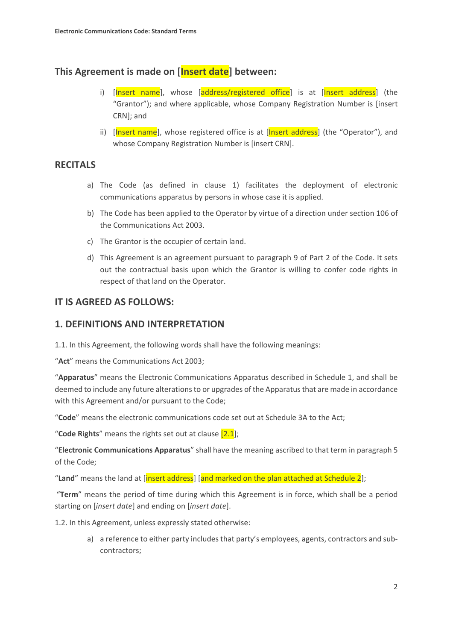# **This Agreement is made on [Insert date] between:**

- i) [Insert name], whose [address/registered office] is at [Insert address] (the "Grantor"); and where applicable, whose Company Registration Number is [insert CRN]; and
- ii) [Insert name], whose registered office is at [Insert address] (the "Operator"), and whose Company Registration Number is [insert CRN].

#### **RECITALS**

- a) The Code (as defined in clause 1) facilitates the deployment of electronic communications apparatus by persons in whose case it is applied.
- b) The Code has been applied to the Operator by virtue of a direction under section 106 of the Communications Act 2003.
- c) The Grantor is the occupier of certain land.
- d) This Agreement is an agreement pursuant to paragraph 9 of Part 2 of the Code. It sets out the contractual basis upon which the Grantor is willing to confer code rights in respect of that land on the Operator.

# **IT IS AGREED AS FOLLOWS:**

#### **1. DEFINITIONS AND INTERPRETATION**

1.1. In this Agreement, the following words shall have the following meanings:

"**Act**" means the Communications Act 2003;

"**Apparatus**" means the Electronic Communications Apparatus described in Schedule 1, and shall be deemed to include any future alterations to or upgrades of the Apparatus that are made in accordance with this Agreement and/or pursuant to the Code;

"**Code**" means the electronic communications code set out at Schedule 3A to the Act;

"**Code Rights**" means the rights set out at clause [2.1];

"**Electronic Communications Apparatus**" shall have the meaning ascribed to that term in paragraph 5 of the Code;

"**Land**" means the land at [insert address] [and marked on the plan attached at Schedule 2];

"**Term**" means the period of time during which this Agreement is in force, which shall be a period starting on [*insert date*] and ending on [*insert date*].

1.2. In this Agreement, unless expressly stated otherwise:

a) a reference to either party includes that party's employees, agents, contractors and subcontractors;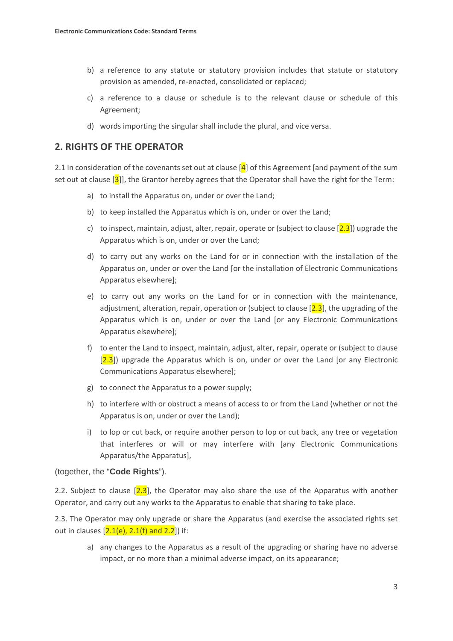- b) a reference to any statute or statutory provision includes that statute or statutory provision as amended, re-enacted, consolidated or replaced;
- c) a reference to a clause or schedule is to the relevant clause or schedule of this Agreement;
- d) words importing the singular shall include the plural, and vice versa.

#### **2. RIGHTS OF THE OPERATOR**

2.1 In consideration of the covenants set out at clause  $\left[4\right]$  of this Agreement [and payment of the sum set out at clause [3]], the Grantor hereby agrees that the Operator shall have the right for the Term:

- a) to install the Apparatus on, under or over the Land;
- b) to keep installed the Apparatus which is on, under or over the Land;
- c) to inspect, maintain, adjust, alter, repair, operate or (subject to clause  $[2.3]$ ) upgrade the Apparatus which is on, under or over the Land;
- d) to carry out any works on the Land for or in connection with the installation of the Apparatus on, under or over the Land [or the installation of Electronic Communications Apparatus elsewhere];
- e) to carry out any works on the Land for or in connection with the maintenance, adjustment, alteration, repair, operation or (subject to clause  $[2.3]$ , the upgrading of the Apparatus which is on, under or over the Land [or any Electronic Communications Apparatus elsewhere];
- f) to enter the Land to inspect, maintain, adjust, alter, repair, operate or (subject to clause)  $[2.3]$ ) upgrade the Apparatus which is on, under or over the Land [or any Electronic Communications Apparatus elsewhere];
- g) to connect the Apparatus to a power supply;
- h) to interfere with or obstruct a means of access to or from the Land (whether or not the Apparatus is on, under or over the Land);
- i) to lop or cut back, or require another person to lop or cut back, any tree or vegetation that interferes or will or may interfere with [any Electronic Communications Apparatus/the Apparatus],

#### (together, the "**Code Rights**").

2.2. Subject to clause  $[2.3]$ , the Operator may also share the use of the Apparatus with another Operator, and carry out any works to the Apparatus to enable that sharing to take place.

2.3. The Operator may only upgrade or share the Apparatus (and exercise the associated rights set out in clauses  $[2.1(e), 2.1(f)$  and  $2.2]$ ) if:

a) any changes to the Apparatus as a result of the upgrading or sharing have no adverse impact, or no more than a minimal adverse impact, on its appearance;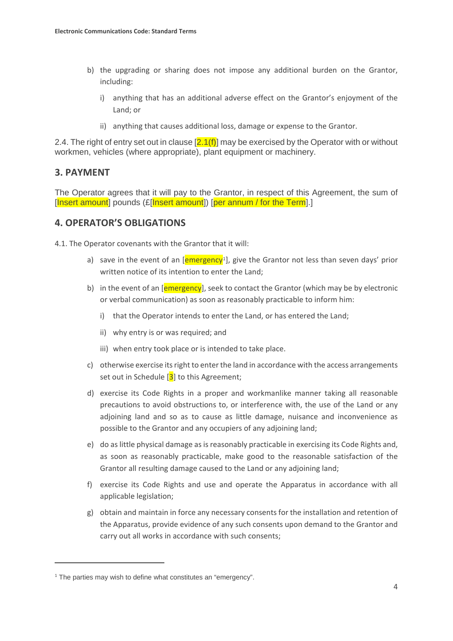- b) the upgrading or sharing does not impose any additional burden on the Grantor, including:
	- i) anything that has an additional adverse effect on the Grantor's enjoyment of the Land; or
	- ii) anything that causes additional loss, damage or expense to the Grantor.

2.4. The right of entry set out in clause  $[2.1(f)]$  may be exercised by the Operator with or without workmen, vehicles (where appropriate), plant equipment or machinery.

#### **3. PAYMENT**

The Operator agrees that it will pay to the Grantor, in respect of this Agreement, the sum of [Insert amount] pounds (£[Insert amount]) [per annum / for the Term].]

#### **4. OPERATOR'S OBLIGATIONS**

4.1. The Operator covenants with the Grantor that it will:

- a) save in the event of an  $[emergency<sup>1</sup>]$  $[emergency<sup>1</sup>]$  $[emergency<sup>1</sup>]$ , give the Grantor not less than seven days' prior written notice of its intention to enter the Land;
- b) in the event of an [emergency], seek to contact the Grantor (which may be by electronic or verbal communication) as soon as reasonably practicable to inform him:
	- i) that the Operator intends to enter the Land, or has entered the Land;
	- ii) why entry is or was required; and
	- iii) when entry took place or is intended to take place.
- c) otherwise exercise its right to enter the land in accordance with the access arrangements set out in Schedule  $[3]$  to this Agreement;
- d) exercise its Code Rights in a proper and workmanlike manner taking all reasonable precautions to avoid obstructions to, or interference with, the use of the Land or any adjoining land and so as to cause as little damage, nuisance and inconvenience as possible to the Grantor and any occupiers of any adjoining land;
- e) do as little physical damage as is reasonably practicable in exercising its Code Rights and, as soon as reasonably practicable, make good to the reasonable satisfaction of the Grantor all resulting damage caused to the Land or any adjoining land;
- f) exercise its Code Rights and use and operate the Apparatus in accordance with all applicable legislation;
- g) obtain and maintain in force any necessary consents for the installation and retention of the Apparatus, provide evidence of any such consents upon demand to the Grantor and carry out all works in accordance with such consents;

**.** 

<span id="page-6-0"></span><sup>&</sup>lt;sup>1</sup> The parties may wish to define what constitutes an "emergency".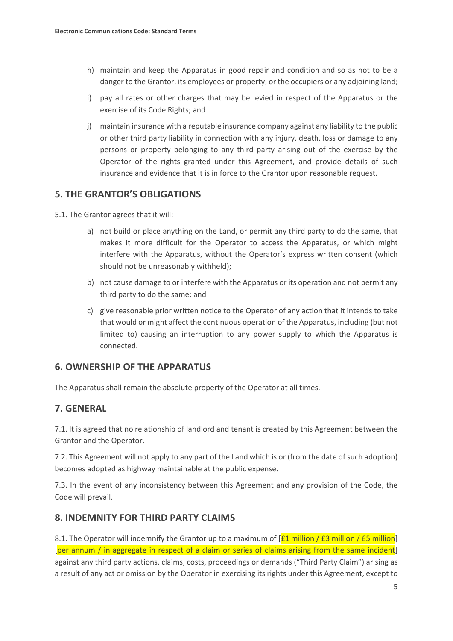- h) maintain and keep the Apparatus in good repair and condition and so as not to be a danger to the Grantor, its employees or property, or the occupiers or any adjoining land;
- i) pay all rates or other charges that may be levied in respect of the Apparatus or the exercise of its Code Rights; and
- j) maintain insurance with a reputable insurance company against any liability to the public or other third party liability in connection with any injury, death, loss or damage to any persons or property belonging to any third party arising out of the exercise by the Operator of the rights granted under this Agreement, and provide details of such insurance and evidence that it is in force to the Grantor upon reasonable request.

#### **5. THE GRANTOR'S OBLIGATIONS**

5.1. The Grantor agrees that it will:

- a) not build or place anything on the Land, or permit any third party to do the same, that makes it more difficult for the Operator to access the Apparatus, or which might interfere with the Apparatus, without the Operator's express written consent (which should not be unreasonably withheld);
- b) not cause damage to or interfere with the Apparatus or its operation and not permit any third party to do the same; and
- c) give reasonable prior written notice to the Operator of any action that it intends to take that would or might affect the continuous operation of the Apparatus, including (but not limited to) causing an interruption to any power supply to which the Apparatus is connected.

# **6. OWNERSHIP OF THE APPARATUS**

The Apparatus shall remain the absolute property of the Operator at all times.

# **7. GENERAL**

7.1. It is agreed that no relationship of landlord and tenant is created by this Agreement between the Grantor and the Operator.

7.2. This Agreement will not apply to any part of the Land which is or (from the date of such adoption) becomes adopted as highway maintainable at the public expense.

7.3. In the event of any inconsistency between this Agreement and any provision of the Code, the Code will prevail.

#### **8. INDEMNITY FOR THIRD PARTY CLAIMS**

8.1. The Operator will indemnify the Grantor up to a maximum of  $[£1$  million / $£3$  million / $£5$  million] [per annum / in aggregate in respect of a claim or series of claims arising from the same incident] against any third party actions, claims, costs, proceedings or demands ("Third Party Claim") arising as a result of any act or omission by the Operator in exercising its rights under this Agreement, except to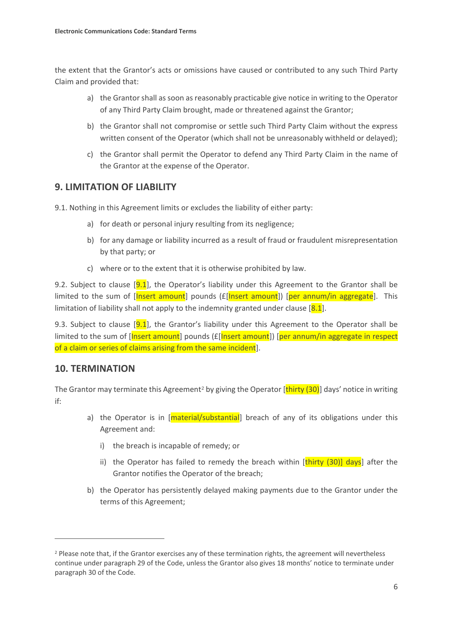the extent that the Grantor's acts or omissions have caused or contributed to any such Third Party Claim and provided that:

- a) the Grantor shall as soon as reasonably practicable give notice in writing to the Operator of any Third Party Claim brought, made or threatened against the Grantor;
- b) the Grantor shall not compromise or settle such Third Party Claim without the express written consent of the Operator (which shall not be unreasonably withheld or delayed);
- c) the Grantor shall permit the Operator to defend any Third Party Claim in the name of the Grantor at the expense of the Operator.

# **9. LIMITATION OF LIABILITY**

9.1. Nothing in this Agreement limits or excludes the liability of either party:

- a) for death or personal injury resulting from its negligence;
- b) for any damage or liability incurred as a result of fraud or fraudulent misrepresentation by that party; or
- c) where or to the extent that it is otherwise prohibited by law.

9.2. Subject to clause  $[9.1]$ , the Operator's liability under this Agreement to the Grantor shall be limited to the sum of  $[Insert amount]$  pounds ( $E[Insert amount]$ ) [per annum/in aggregate]. This limitation of liability shall not apply to the indemnity granted under clause  $[8.1]$ .

9.3. Subject to clause  $[9.1]$ , the Grantor's liability under this Agreement to the Operator shall be limited to the sum of [Insert amount] pounds (£[Insert amount]) [per annum/in aggregate in respect of a claim or series of claims arising from the same incident.

# **10. TERMINATION**

 $\overline{a}$ 

The Grantor may terminate this Agreement<sup>[2](#page-8-0)</sup> by giving the Operator  $[\text{thirty} (30)]$  days' notice in writing if:

- a) the Operator is in [material/substantial] breach of any of its obligations under this Agreement and:
	- i) the breach is incapable of remedy; or
	- ii) the Operator has failed to remedy the breach within [thirty (30)] days] after the Grantor notifies the Operator of the breach;
- b) the Operator has persistently delayed making payments due to the Grantor under the terms of this Agreement;

<span id="page-8-0"></span><sup>&</sup>lt;sup>2</sup> Please note that, if the Grantor exercises any of these termination rights, the agreement will nevertheless continue under paragraph 29 of the Code, unless the Grantor also gives 18 months' notice to terminate under paragraph 30 of the Code.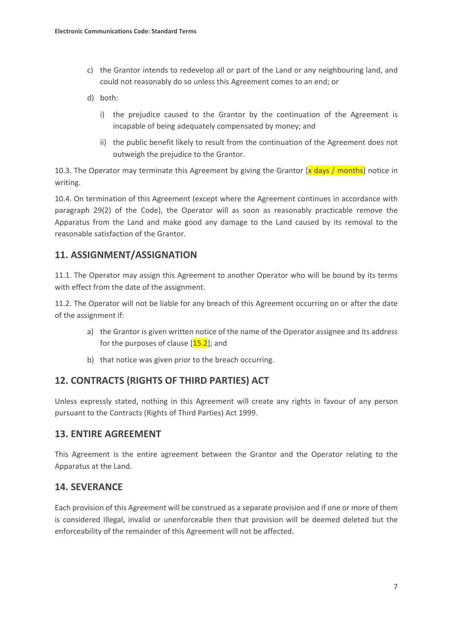- c) the Grantor intends to redevelop all or part of the Land or any neighbouring land, and could not reasonably do so unless this Agreement comes to an end; or
- d) both:
	- i) the prejudice caused to the Grantor by the continuation of the Agreement is incapable of being adequately compensated by money; and
	- ii) the public benefit likely to result from the continuation of the Agreement does not outweigh the prejudice to the Grantor.

10.3. The Operator may terminate this Agreement by giving the Grantor [x days / months] notice in writing.

10.4. On termination of this Agreement (except where the Agreement continues in accordance with paragraph 29(2) of the Code), the Operator will as soon as reasonably practicable remove the Apparatus from the Land and make good any damage to the Land caused by its removal to the reasonable satisfaction of the Grantor.

# **11. ASSIGNMENT/ASSIGNATION**

11.1. The Operator may assign this Agreement to another Operator who will be bound by its terms with effect from the date of the assignment.

11.2. The Operator will not be liable for any breach of this Agreement occurring on or after the date of the assignment if:

- a) the Grantor is given written notice of the name of the Operator assignee and its address for the purposes of clause  $[15.2]$ ; and
- b) that notice was given prior to the breach occurring.

# **12. CONTRACTS (RIGHTS OF THIRD PARTIES) ACT**

Unless expressly stated, nothing in this Agreement will create any rights in favour of any person pursuant to the Contracts (Rights of Third Parties) Act 1999.

# **13. ENTIRE AGREEMENT**

This Agreement is the entire agreement between the Grantor and the Operator relating to the Apparatus at the Land.

# **14. SEVERANCE**

Each provision of this Agreement will be construed as a separate provision and if one or more of them is considered illegal, invalid or unenforceable then that provision will be deemed deleted but the enforceability of the remainder of this Agreement will not be affected.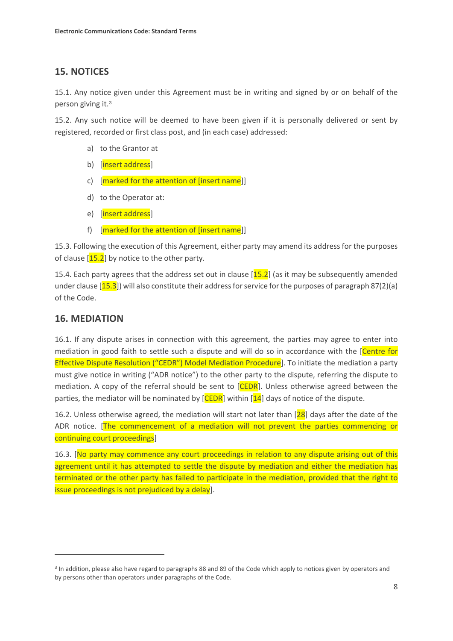# **15. NOTICES**

15.1. Any notice given under this Agreement must be in writing and signed by or on behalf of the person giving it.[3](#page-10-0)

15.2. Any such notice will be deemed to have been given if it is personally delivered or sent by registered, recorded or first class post, and (in each case) addressed:

- a) to the Grantor at
- b) [insert address]
- c) [marked for the attention of [insert name]]
- d) to the Operator at:
- e) [insert address]
- f) [marked for the attention of [insert name]]

15.3. Following the execution of this Agreement, either party may amend its address for the purposes of clause  $[15.2]$  by notice to the other party.

15.4. Each party agrees that the address set out in clause [15.2] (as it may be subsequently amended under clause  $[15.3]$ ) will also constitute their address for service for the purposes of paragraph 87(2)(a) of the Code.

# **16. MEDIATION**

 $\overline{a}$ 

16.1. If any dispute arises in connection with this agreement, the parties may agree to enter into mediation in good faith to settle such a dispute and will do so in accordance with the [Centre for Effective Dispute Resolution ("CEDR") Model Mediation Procedure. To initiate the mediation a party must give notice in writing ("ADR notice") to the other party to the dispute, referring the dispute to mediation. A copy of the referral should be sent to [CEDR]. Unless otherwise agreed between the parties, the mediator will be nominated by  $[CEDR]$  within  $[14]$  days of notice of the dispute.

16.2. Unless otherwise agreed, the mediation will start not later than  $\left[28\right]$  days after the date of the ADR notice. [The commencement of a mediation will not prevent the parties commencing or continuing court proceedings]

16.3. [No party may commence any court proceedings in relation to any dispute arising out of this agreement until it has attempted to settle the dispute by mediation and either the mediation has terminated or the other party has failed to participate in the mediation, provided that the right to issue proceedings is not prejudiced by a delay].

<span id="page-10-0"></span><sup>&</sup>lt;sup>3</sup> In addition, please also have regard to paragraphs 88 and 89 of the Code which apply to notices given by operators and by persons other than operators under paragraphs of the Code.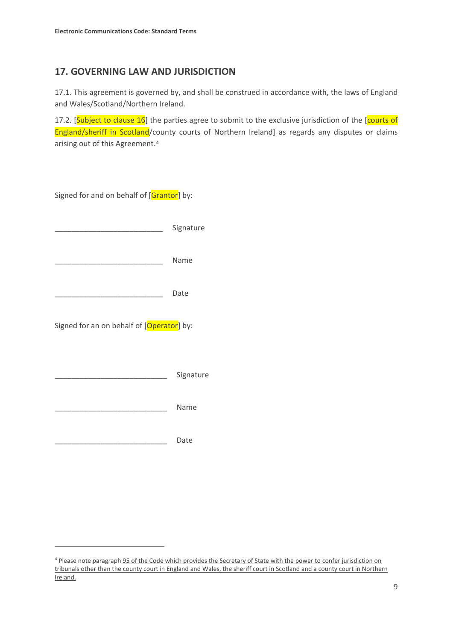### **17. GOVERNING LAW AND JURISDICTION**

17.1. This agreement is governed by, and shall be construed in accordance with, the laws of England and Wales/Scotland/Northern Ireland.

17.2. [Subject to clause 16] the parties agree to submit to the exclusive jurisdiction of the [courts of England/sheriff in Scotland/county courts of Northern Ireland] as regards any disputes or claims arising out of this Agreement.[4](#page-11-0)

| Signed for and on behalf of [Grantor] by: |           |
|-------------------------------------------|-----------|
|                                           | Signature |
|                                           | Name      |
|                                           | Date      |
| Signed for an on behalf of [Operator] by: |           |
|                                           | Signature |
|                                           | Name      |
|                                           | Date      |
|                                           |           |

 $\overline{a}$ 

<span id="page-11-0"></span><sup>4</sup> Please note paragraph 95 of the Code which provides the Secretary of State with the power to confer jurisdiction on tribunals other than the county court in England and Wales, the sheriff court in Scotland and a county court in Northern Ireland.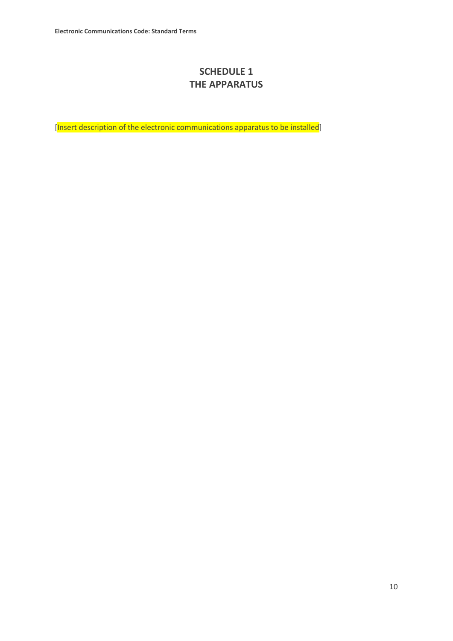# **SCHEDULE 1 THE APPARATUS**

[Insert description of the electronic communications apparatus to be installed]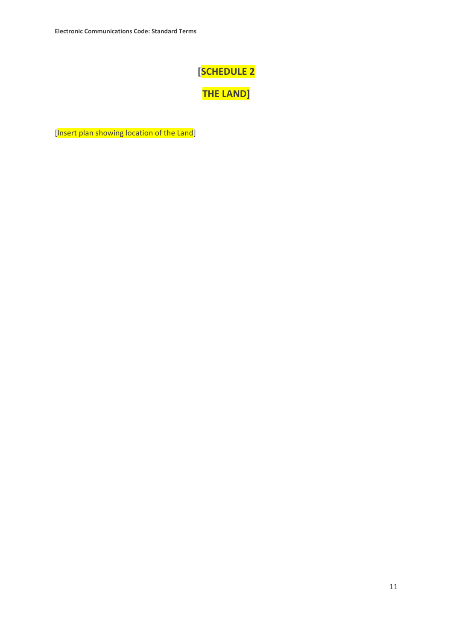# **[SCHEDULE 2**

**THE LAND]**

[Insert plan showing location of the Land]